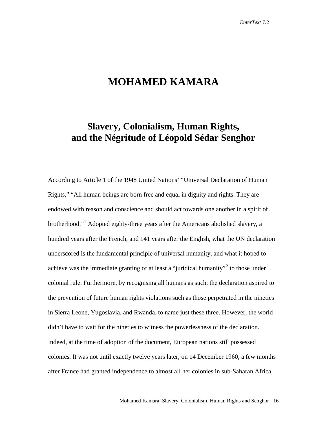## **MOHAMED KAMARA**

## **Slavery, Colonialism, Human Rights, and the Négritude of Léopold Sédar Senghor**

According to Article 1 of the 1948 United Nations' "Universal Declaration of Human Rights," "All human beings are born free and equal in dignity and rights. They are endowed with reason and conscience and should act towards one another in a spirit of brotherhood."<sup>[1](#page-16-0)</sup> Adopted eighty-three years after the Americans abolished slavery, a hundred years after the French, and 141 years after the English, what the UN declaration underscored is the fundamental principle of universal humanity, and what it hoped to achieve was the immediate granting of at least a "juridical humanity"<sup>[2](#page-16-1)</sup> to those under colonial rule. Furthermore, by recognising all humans as such, the declaration aspired to the prevention of future human rights violations such as those perpetrated in the nineties in Sierra Leone, Yugoslavia, and Rwanda, to name just these three. However, the world didn't have to wait for the nineties to witness the powerlessness of the declaration. Indeed, at the time of adoption of the document, European nations still possessed colonies. It was not until exactly twelve years later, on 14 December 1960, a few months after France had granted independence to almost all her colonies in sub-Saharan Africa,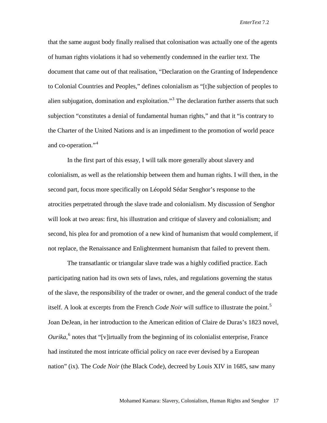that the same august body finally realised that colonisation was actually one of the agents of human rights violations it had so vehemently condemned in the earlier text. The document that came out of that realisation, "Declaration on the Granting of Independence to Colonial Countries and Peoples," defines colonialism as "[t]he subjection of peoples to alien subjugation, domination and exploitation.<sup>[3](#page-17-0)</sup> The declaration further asserts that such subjection "constitutes a denial of fundamental human rights," and that it "is contrary to the Charter of the United Nations and is an impediment to the promotion of world peace and co-operation."[4](#page-17-1)

In the first part of this essay, I will talk more generally about slavery and colonialism, as well as the relationship between them and human rights. I will then, in the second part, focus more specifically on Léopold Sédar Senghor's response to the atrocities perpetrated through the slave trade and colonialism. My discussion of Senghor will look at two areas: first, his illustration and critique of slavery and colonialism; and second, his plea for and promotion of a new kind of humanism that would complement, if not replace, the Renaissance and Enlightenment humanism that failed to prevent them.

The transatlantic or triangular slave trade was a highly codified practice. Each participating nation had its own sets of laws, rules, and regulations governing the status of the slave, the responsibility of the trader or owner, and the general conduct of the trade itself. A look at excerpts from the French *Code Noir* will suffice to illustrate the point. [5](#page-17-2) Joan DeJean, in her introduction to the American edition of Claire de Duras's 1823 novel, *Ourika*, [6](#page-17-3) notes that "[v]irtually from the beginning of its colonialist enterprise, France had instituted the most intricate official policy on race ever devised by a European nation" (ix). The *Code Noir* (the Black Code), decreed by Louis XIV in 1685, saw many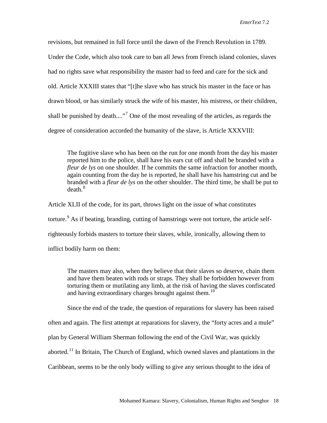revisions, but remained in full force until the dawn of the French Revolution in 1789. Under the Code, which also took care to ban all Jews from French island colonies, slaves had no rights save what responsibility the master had to feed and care for the sick and old. Article XXXIII states that "[t]he slave who has struck his master in the face or has drawn blood, or has similarly struck the wife of his master, his mistress, or their children, shall be punished by death....."<sup>[7](#page-18-0)</sup> One of the most revealing of the articles, as regards the degree of consideration accorded the humanity of the slave, is Article XXXVIII:

The fugitive slave who has been on the run for one month from the day his master reported him to the police, shall have his ears cut off and shall be branded with a *fleur de lys* on one shoulder. If he commits the same infraction for another month, again counting from the day he is reported, he shall have his hamstring cut and be branded with a *fleur de lys* on the other shoulder. The third time, he shall be put to death. [8](#page-18-1)

Article XLII of the code, for its part, throws light on the issue of what constitutes torture.<sup>[9](#page-18-2)</sup> As if beating, branding, cutting of hamstrings were not torture, the article selfrighteously forbids masters to torture their slaves, while, ironically, allowing them to inflict bodily harm on them:

The masters may also, when they believe that their slaves so deserve, chain them and have them beaten with rods or straps. They shall be forbidden however from torturing them or mutilating any limb, at the risk of having the slaves confiscated and having extraordinary charges brought against them.<sup>[10](#page-18-3)</sup>

Since the end of the trade, the question of reparations for slavery has been raised

often and again. The first attempt at reparations for slavery, the "forty acres and a mule"

plan by General William Sherman following the end of the Civil War, was quickly

aborted.<sup>[11](#page-18-4)</sup> In Britain, The Church of England, which owned slaves and plantations in the

Caribbean, seems to be the only body willing to give any serious thought to the idea of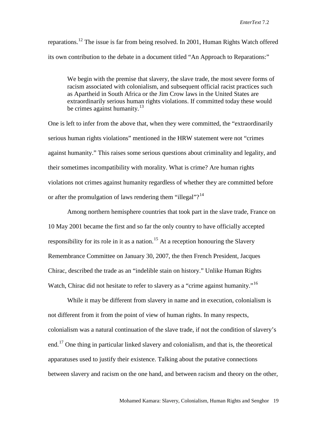reparations.<sup>[12](#page-18-5)</sup> The issue is far from being resolved. In 2001, Human Rights Watch offered its own contribution to the debate in a document titled "An Approach to Reparations:"

We begin with the premise that slavery, the slave trade, the most severe forms of racism associated with colonialism, and subsequent official racist practices such as Apartheid in South Africa or the Jim Crow laws in the United States are extraordinarily serious human rights violations. If committed today these would be crimes against humanity. $13$ 

One is left to infer from the above that, when they were committed, the "extraordinarily serious human rights violations" mentioned in the HRW statement were not "crimes against humanity." This raises some serious questions about criminality and legality, and their sometimes incompatibility with morality. What is crime? Are human rights violations not crimes against humanity regardless of whether they are committed before or after the promulgation of laws rendering them "illegal"?<sup>[14](#page-18-7)</sup>

Among northern hemisphere countries that took part in the slave trade, France on 10 May 2001 became the first and so far the only country to have officially accepted responsibility for its role in it as a nation.<sup>[15](#page-18-8)</sup> At a reception honouring the Slavery Remembrance Committee on January 30, 2007, the then French President, Jacques Chirac, described the trade as an "indelible stain on history." Unlike Human Rights Watch, Chirac did not hesitate to refer to slavery as a "crime against humanity."<sup>[16](#page-18-9)</sup>

While it may be different from slavery in name and in execution, colonialism is not different from it from the point of view of human rights. In many respects, colonialism was a natural continuation of the slave trade, if not the condition of slavery's end.<sup>[17](#page-18-10)</sup> One thing in particular linked slavery and colonialism, and that is, the theoretical apparatuses used to justify their existence. Talking about the putative connections between slavery and racism on the one hand, and between racism and theory on the other,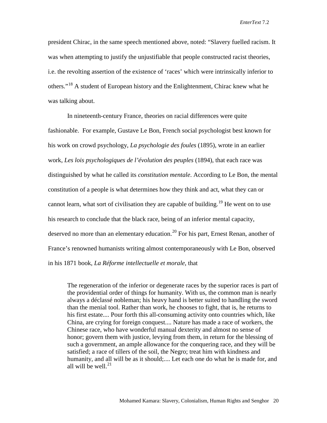president Chirac, in the same speech mentioned above, noted: "Slavery fuelled racism. It was when attempting to justify the unjustifiable that people constructed racist theories, i.e. the revolting assertion of the existence of 'races' which were intrinsically inferior to others."[18](#page-18-11) A student of European history and the Enlightenment, Chirac knew what he was talking about.

In nineteenth-century France, theories on racial differences were quite fashionable. For example, Gustave Le Bon, French social psychologist best known for his work on crowd psychology, *La psychologie des foules* (1895), wrote in an earlier work, *Les lois psychologiques de l'évolution des peuples* (1894), that each race was distinguished by what he called its *constitution mentale*. According to Le Bon, the mental constitution of a people is what determines how they think and act, what they can or cannot learn, what sort of civilisation they are capable of building.<sup>[19](#page-18-12)</sup> He went on to use his research to conclude that the black race, being of an inferior mental capacity, deserved no more than an elementary education.<sup>[20](#page-18-13)</sup> For his part, Ernest Renan, another of France's renowned humanists writing almost contemporaneously with Le Bon, observed in his 1871 book, *La Réforme intellectuelle et morale*, that

The regeneration of the inferior or degenerate races by the superior races is part of the providential order of things for humanity. With us, the common man is nearly always a déclassé nobleman; his heavy hand is better suited to handling the sword than the menial tool. Rather than work, he chooses to fight, that is, he returns to his first estate.... Pour forth this all-consuming activity onto countries which, like China, are crying for foreign conquest.... Nature has made a race of workers, the Chinese race, who have wonderful manual dexterity and almost no sense of honor; govern them with justice, levying from them, in return for the blessing of such a government, an ample allowance for the conquering race, and they will be satisfied; a race of tillers of the soil, the Negro; treat him with kindness and humanity, and all will be as it should;.... Let each one do what he is made for, and all will be well. [21](#page-18-14)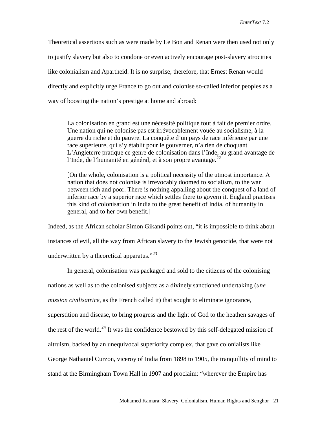Theoretical assertions such as were made by Le Bon and Renan were then used not only to justify slavery but also to condone or even actively encourage post-slavery atrocities like colonialism and Apartheid. It is no surprise, therefore, that Ernest Renan would directly and explicitly urge France to go out and colonise so-called inferior peoples as a way of boosting the nation's prestige at home and abroad:

La colonisation en grand est une nécessité politique tout à fait de premier ordre. Une nation qui ne colonise pas est irrévocablement vouée au socialisme, à la guerre du riche et du pauvre. La conquête d'un pays de race inférieure par une race supérieure, qui s'y établit pour le gouverner, n'a rien de choquant. L'Angleterre pratique ce genre de colonisation dans l'Inde, au grand avantage de l'Inde, de l'humanité en général, et à son propre avantage.  $2^2$ 

[On the whole, colonisation is a political necessity of the utmost importance. A nation that does not colonise is irrevocably doomed to socialism, to the war between rich and poor. There is nothing appalling about the conquest of a land of inferior race by a superior race which settles there to govern it. England practises this kind of colonisation in India to the great benefit of India, of humanity in general, and to her own benefit.]

Indeed, as the African scholar Simon Gikandi points out, "it is impossible to think about instances of evil, all the way from African slavery to the Jewish genocide, that were not underwritten by a theoretical apparatus." $^{23}$  $^{23}$  $^{23}$ 

In general, colonisation was packaged and sold to the citizens of the colonising nations as well as to the colonised subjects as a divinely sanctioned undertaking (*une mission civilisatrice*, as the French called it) that sought to eliminate ignorance, superstition and disease, to bring progress and the light of God to the heathen savages of the rest of the world.<sup>[24](#page-18-17)</sup> It was the confidence bestowed by this self-delegated mission of altruism, backed by an unequivocal superiority complex, that gave colonialists like George Nathaniel Curzon, viceroy of India from 1898 to 1905, the tranquillity of mind to stand at the Birmingham Town Hall in 1907 and proclaim: "wherever the Empire has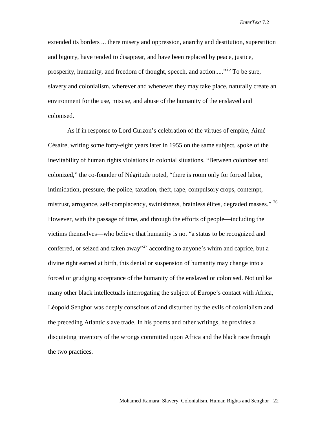extended its borders ... there misery and oppression, anarchy and destitution, superstition and bigotry, have tended to disappear, and have been replaced by peace, justice, prosperity, humanity, and freedom of thought, speech, and action.....<sup>[25](#page-18-18)</sup> To be sure, slavery and colonialism, wherever and whenever they may take place, naturally create an environment for the use, misuse, and abuse of the humanity of the enslaved and colonised.

As if in response to Lord Curzon's celebration of the virtues of empire, Aimé Césaire, writing some forty-eight years later in 1955 on the same subject, spoke of the inevitability of human rights violations in colonial situations. "Between colonizer and colonized," the co-founder of Négritude noted, "there is room only for forced labor, intimidation, pressure, the police, taxation, theft, rape, compulsory crops, contempt, mistrust, arrogance, self-complacency, swinishness, brainless élites, degraded masses." [26](#page-18-19) However, with the passage of time, and through the efforts of people—including the victims themselves—who believe that humanity is not "a status to be recognized and conferred, or seized and taken away"<sup>[27](#page-18-20)</sup> according to anyone's whim and caprice, but a divine right earned at birth, this denial or suspension of humanity may change into a forced or grudging acceptance of the humanity of the enslaved or colonised. Not unlike many other black intellectuals interrogating the subject of Europe's contact with Africa, Léopold Senghor was deeply conscious of and disturbed by the evils of colonialism and the preceding Atlantic slave trade. In his poems and other writings, he provides a disquieting inventory of the wrongs committed upon Africa and the black race through the two practices.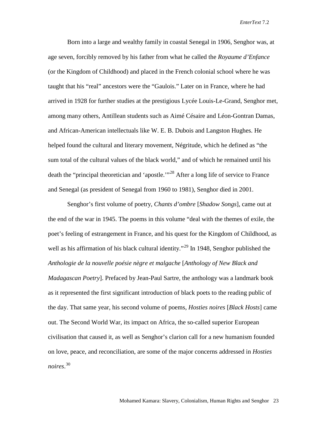Born into a large and wealthy family in coastal Senegal in 1906, Senghor was, at age seven, forcibly removed by his father from what he called the *Royaume d'Enfance* (or the Kingdom of Childhood) and placed in the French colonial school where he was taught that his "real" ancestors were the "Gaulois." Later on in France, where he had arrived in 1928 for further studies at the prestigious Lycée Louis-Le-Grand, Senghor met, among many others, Antillean students such as Aimé Césaire and Léon-Gontran Damas, and African-American intellectuals like W. E. B. Dubois and Langston Hughes. He helped found the cultural and literary movement, Négritude, which he defined as "the sum total of the cultural values of the black world," and of which he remained until his death the "principal theoretician and 'apostle."<sup>[28](#page-18-21)</sup> After a long life of service to France and Senegal (as president of Senegal from 1960 to 1981), Senghor died in 2001.

Senghor's first volume of poetry, *Chants d'ombre* [*Shadow Songs*], came out at the end of the war in 1945. The poems in this volume "deal with the themes of exile, the poet's feeling of estrangement in France, and his quest for the Kingdom of Childhood, as well as his affirmation of his black cultural identity."<sup>[29](#page-18-22)</sup> In 1948, Senghor published the *Anthologie de la nouvelle poésie nègre et malgache* [*Anthology of New Black and Madagascan Poetry*]. Prefaced by Jean-Paul Sartre, the anthology was a landmark book as it represented the first significant introduction of black poets to the reading public of the day. That same year, his second volume of poems, *Hosties noires* [*Black Hosts*] came out. The Second World War, its impact on Africa, the so-called superior European civilisation that caused it, as well as Senghor's clarion call for a new humanism founded on love, peace, and reconciliation, are some of the major concerns addressed in *Hosties noires*. [30](#page-18-23)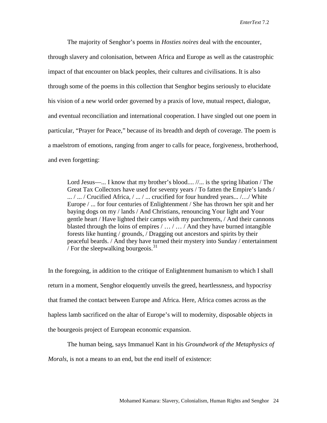The majority of Senghor's poems in *Hosties noires* deal with the encounter, through slavery and colonisation, between Africa and Europe as well as the catastrophic impact of that encounter on black peoples, their cultures and civilisations. It is also through some of the poems in this collection that Senghor begins seriously to elucidate his vision of a new world order governed by a praxis of love, mutual respect, dialogue, and eventual reconciliation and international cooperation. I have singled out one poem in particular, "Prayer for Peace," because of its breadth and depth of coverage. The poem is a maelstrom of emotions, ranging from anger to calls for peace, forgiveness, brotherhood, and even forgetting:

Lord Jesus—... I know that my brother's blood....  $\mathcal{N}$ ... is the spring libation / The Great Tax Collectors have used for seventy years / To fatten the Empire's lands / ... / ... / Crucified Africa, / ... / ... crucified for four hundred years... /…/ White Europe / ... for four centuries of Enlightenment / She has thrown her spit and her baying dogs on my / lands / And Christians, renouncing Your light and Your gentle heart / Have lighted their camps with my parchments, / And their cannons blasted through the loins of empires / … / … / And they have burned intangible forests like hunting / grounds, / Dragging out ancestors and spirits by their peaceful beards. / And they have turned their mystery into Sunday / entertainment / For the sleepwalking bourgeois. $31$ 

In the foregoing, in addition to the critique of Enlightenment humanism to which I shall return in a moment, Senghor eloquently unveils the greed, heartlessness, and hypocrisy that framed the contact between Europe and Africa. Here, Africa comes across as the hapless lamb sacrificed on the altar of Europe's will to modernity, disposable objects in the bourgeois project of European economic expansion.

The human being, says Immanuel Kant in his *Groundwork of the Metaphysics of* 

*Morals*, is not a means to an end, but the end itself of existence: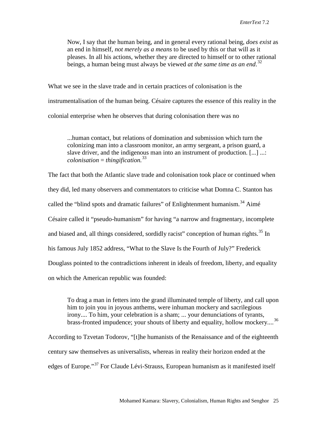Now, I say that the human being, and in general every rational being, *does exist* as an end in himself, *not merely as a means* to be used by this or that will as it pleases. In all his actions, whether they are directed to himself or to other rational beings, a human being must always be viewed *at the same time as an end*. [32](#page-18-24)

What we see in the slave trade and in certain practices of colonisation is the instrumentalisation of the human being. Césaire captures the essence of this reality in the colonial enterprise when he observes that during colonisation there was no

...human contact, but relations of domination and submission which turn the colonizing man into a classroom monitor, an army sergeant, a prison guard, a slave driver, and the indigenous man into an instrument of production. [...] ...: *colonisation* = *thingification.* [33](#page-18-25)

The fact that both the Atlantic slave trade and colonisation took place or continued when they did, led many observers and commentators to criticise what Domna C. Stanton has called the "blind spots and dramatic failures" of Enlightenment humanism.<sup>[34](#page-18-26)</sup> Aimé Césaire called it "pseudo-humanism" for having "a narrow and fragmentary, incomplete and biased and, all things considered, sordidly racist" conception of human rights.<sup>[35](#page-18-4)</sup> In his famous July 1852 address, "What to the Slave Is the Fourth of July?" Frederick Douglass pointed to the contradictions inherent in ideals of freedom, liberty, and equality on which the American republic was founded:

To drag a man in fetters into the grand illuminated temple of liberty, and call upon him to join you in joyous anthems, were inhuman mockery and sacrilegious irony.... To him, your celebration is a sham; ... your denunciations of tyrants, brass-fronted impudence; your shouts of liberty and equality, hollow mockery....<sup>[36](#page-18-27)</sup>

According to Tzvetan Todorov, "[t]he humanists of the Renaissance and of the eighteenth century saw themselves as universalists, whereas in reality their horizon ended at the edges of Europe."[37](#page-18-28) For Claude Lévi-Strauss, European humanism as it manifested itself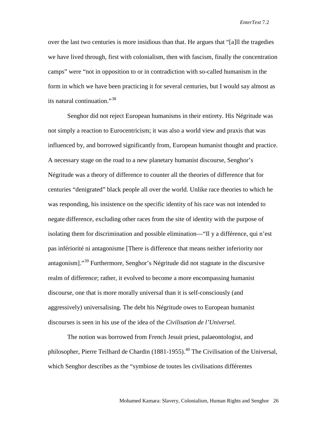over the last two centuries is more insidious than that. He argues that "[a]ll the tragedies we have lived through, first with colonialism, then with fascism, finally the concentration camps" were "not in opposition to or in contradiction with so-called humanism in the form in which we have been practicing it for several centuries, but I would say almost as its natural continuation."<sup>[38](#page-18-29)</sup>

Senghor did not reject European humanisms in their entirety. His Négritude was not simply a reaction to Eurocentricism; it was also a world view and praxis that was influenced by, and borrowed significantly from, European humanist thought and practice. A necessary stage on the road to a new planetary humanist discourse, Senghor's Négritude was a theory of difference to counter all the theories of difference that for centuries "denigrated" black people all over the world. Unlike race theories to which he was responding, his insistence on the specific identity of his race was not intended to negate difference, excluding other races from the site of identity with the purpose of isolating them for discrimination and possible elimination—"Il y a différence, qui n'est pas infériorité ni antagonisme [There is difference that means neither inferiority nor antagonism]."[39](#page-18-7) Furthermore, Senghor's Négritude did not stagnate in the discursive realm of difference; rather, it evolved to become a more encompassing humanist discourse, one that is more morally universal than it is self-consciously (and aggressively) universalising. The debt his Négritude owes to European humanist discourses is seen in his use of the idea of the *Civilisation de l'Universel*.

The notion was borrowed from French Jesuit priest, palaeontologist, and philosopher, Pierre Teilhard de Chardin (1881-1955).<sup>[40](#page-18-30)</sup> The Civilisation of the Universal, which Senghor describes as the "symbiose de toutes les civilisations différentes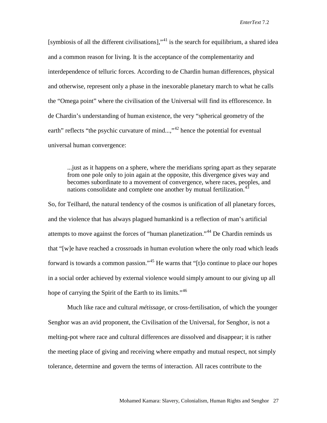[symbiosis of all the different civilisations],  $\cdot$ <sup>[41](#page-18-9)</sup> is the search for equilibrium, a shared idea and a common reason for living. It is the acceptance of the complementarity and interdependence of telluric forces. According to de Chardin human differences, physical and otherwise, represent only a phase in the inexorable planetary march to what he calls the "Omega point" where the civilisation of the Universal will find its efflorescence. In de Chardin's understanding of human existence, the very "spherical geometry of the earth" reflects "the psychic curvature of mind...,"<sup>[42](#page-18-31)</sup> hence the potential for eventual universal human convergence:

...just as it happens on a sphere, where the meridians spring apart as they separate from one pole only to join again at the opposite, this divergence gives way and becomes subordinate to a movement of convergence, where races, peoples, and nations consolidate and complete one another by mutual fertilization.<sup>[43](#page-18-32)</sup>

So, for Teilhard, the natural tendency of the cosmos is unification of all planetary forces, and the violence that has always plagued humankind is a reflection of man's artificial attempts to move against the forces of "human planetization."[44](#page-18-11) De Chardin reminds us that "[w]e have reached a crossroads in human evolution where the only road which leads forward is towards a common passion."[45](#page-18-15) He warns that "[t]o continue to place our hopes in a social order achieved by external violence would simply amount to our giving up all hope of carrying the Spirit of the Earth to its limits."<sup>[46](#page-18-16)</sup>

Much like race and cultural *métissage,* or cross-fertilisation, of which the younger Senghor was an avid proponent, the Civilisation of the Universal, for Senghor, is not a melting-pot where race and cultural differences are dissolved and disappear; it is rather the meeting place of giving and receiving where empathy and mutual respect, not simply tolerance, determine and govern the terms of interaction. All races contribute to the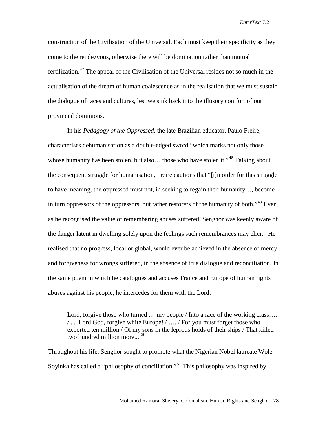construction of the Civilisation of the Universal. Each must keep their specificity as they come to the rendezvous, otherwise there will be domination rather than mutual fertilization.<sup>[47](#page-18-33)</sup> The appeal of the Civilisation of the Universal resides not so much in the actualisation of the dream of human coalescence as in the realisation that we must sustain the dialogue of races and cultures, lest we sink back into the illusory comfort of our provincial dominions.

In his *Pedagogy of the Oppressed*, the late Brazilian educator, Paulo Freire, characterises dehumanisation as a double-edged sword "which marks not only those whose humanity has been stolen, but also... those who have stolen it."<sup>[48](#page-18-20)</sup> Talking about the consequent struggle for humanisation, Freire cautions that "[i]n order for this struggle to have meaning, the oppressed must not, in seeking to regain their humanity…, become in turn oppressors of the oppressors, but rather restorers of the humanity of both."<sup>[49](#page-18-22)</sup> Even as he recognised the value of remembering abuses suffered, Senghor was keenly aware of the danger latent in dwelling solely upon the feelings such remembrances may elicit. He realised that no progress, local or global, would ever be achieved in the absence of mercy and forgiveness for wrongs suffered, in the absence of true dialogue and reconciliation. In the same poem in which he catalogues and accuses France and Europe of human rights abuses against his people, he intercedes for them with the Lord:

Lord, forgive those who turned ... my people / Into a race of the working class.... / ... Lord God, forgive white Europe! / …. / For you must forget those who exported ten million / Of my sons in the leprous holds of their ships / That killed two hundred million more....<sup>[50](#page-18-23)</sup>

Throughout his life, Senghor sought to promote what the Nigerian Nobel laureate Wole Soyinka has called a "philosophy of conciliation."<sup>[51](#page-18-34)</sup> This philosophy was inspired by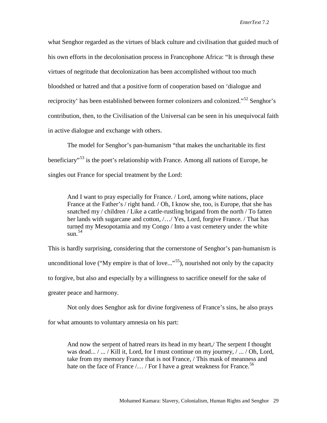what Senghor regarded as the virtues of black culture and civilisation that guided much of his own efforts in the decolonisation process in Francophone Africa: "It is through these virtues of negritude that decolonization has been accomplished without too much bloodshed or hatred and that a positive form of cooperation based on 'dialogue and reciprocity' has been established between former colonizers and colonized."<sup>[52](#page-18-0)</sup> Senghor's contribution, then, to the Civilisation of the Universal can be seen in his unequivocal faith in active dialogue and exchange with others.

The model for Senghor's pan-humanism "that makes the uncharitable its first beneficiary<sup>55</sup> is the poet's relationship with France. Among all nations of Europe, he singles out France for special treatment by the Lord:

And I want to pray especially for France. / Lord, among white nations, place France at the Father's / right hand. / Oh, I know she, too, is Europe, that she has snatched my / children / Like a cattle-rustling brigand from the north / To fatten her lands with sugarcane and cotton, /…/ Yes, Lord, forgive France. / That has turned my Mesopotamia and my Congo / Into a vast cemetery under the white  $\sin^{54}$  $\sin^{54}$  $\sin^{54}$ 

This is hardly surprising, considering that the cornerstone of Senghor's pan-humanism is unconditional love ("My empire is that of love..."<sup>55</sup>), nourished not only by the capacity to forgive, but also and especially by a willingness to sacrifice oneself for the sake of greater peace and harmony.

Not only does Senghor ask for divine forgiveness of France's sins, he also prays for what amounts to voluntary amnesia on his part:

And now the serpent of hatred rears its head in my heart,/ The serpent I thought was dead... / ... / Kill it, Lord, for I must continue on my journey, / ... / Oh, Lord, take from my memory France that is not France, / This mask of meanness and hate on the face of France  $/$ ... / For I have a great weakness for France.<sup>[56](#page-18-26)</sup>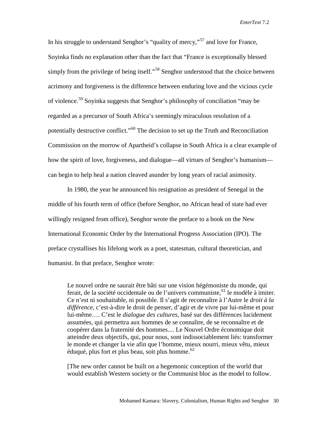In his struggle to understand Senghor's "quality of mercy,"<sup>[57](#page-18-3)</sup> and love for France, Soyinka finds no explanation other than the fact that "France is exceptionally blessed simply from the privilege of being itself."<sup>[58](#page-18-4)</sup> Senghor understood that the choice between acrimony and forgiveness is the difference between enduring love and the vicious cycle of violence.<sup>[59](#page-18-27)</sup> Soyinka suggests that Senghor's philosophy of conciliation "may be regarded as a precursor of South Africa's seemingly miraculous resolution of a potentially destructive conflict."[60](#page-18-28) The decision to set up the Truth and Reconciliation Commission on the morrow of Apartheid's collapse in South Africa is a clear example of how the spirit of love, forgiveness, and dialogue—all virtues of Senghor's humanism can begin to help heal a nation cleaved asunder by long years of racial animosity.

In 1980, the year he announced his resignation as president of Senegal in the middle of his fourth term of office (before Senghor, no African head of state had ever willingly resigned from office), Senghor wrote the preface to a book on the New International Economic Order by the International Progress Association (IPO). The preface crystallises his lifelong work as a poet, statesman, cultural theoretician, and humanist. In that preface, Senghor wrote:

Le nouvel ordre ne saurait être bâti sur une vision hégémoniste du monde, qui ferait, de la société occidentale ou de l'univers communiste,  $61$  le modèle à imiter. Ce n'est ni souhaitable, ni possible. Il s'agit de reconnaître à l'Autre le *droit à la différence*, c'est-à-dire le droit de penser, d'agir et de vivre par lui-même et pour lui-même…. C'est le *dialogue des cultures*, basé sur des différences lucidement assumées, qui permettra aux hommes de se connaître, de se reconnaître et de coopérer dans la fraternité des hommes.... Le Nouvel Ordre économique doit atteindre deux objectifs, qui, pour nous, sont indissociablement liés: transformer le monde et changer la vie afin que l'homme, mieux nourri, mieux vêtu, mieux éduqué, plus fort et plus beau, soit plus homme.  $62$ 

[The new order cannot be built on a hegemonic conception of the world that would establish Western society or the Communist bloc as the model to follow.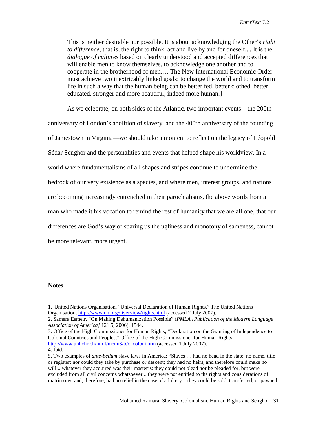This is neither desirable nor possible. It is about acknowledging the Other's *right to difference*, that is, the right to think, act and live by and for oneself.... It is the *dialogue of cultures* based on clearly understood and accepted differences that will enable men to know themselves, to acknowledge one another and to cooperate in the brotherhood of men.… The New International Economic Order must achieve two inextricably linked goals: to change the world and to transform life in such a way that the human being can be better fed, better clothed, better educated, stronger and more beautiful, indeed more human.]

As we celebrate, on both sides of the Atlantic, two important events—the 200th anniversary of London's abolition of slavery, and the 400th anniversary of the founding of Jamestown in Virginia—we should take a moment to reflect on the legacy of Léopold Sédar Senghor and the personalities and events that helped shape his worldview. In a world where fundamentalisms of all shapes and stripes continue to undermine the bedrock of our very existence as a species, and where men, interest groups, and nations are becoming increasingly entrenched in their parochialisms, the above words from a man who made it his vocation to remind the rest of humanity that we are all one, that our differences are God's way of sparing us the ugliness and monotony of sameness, cannot be more relevant, more urgent.

## **Notes**

3. Office of the High Commissioner for Human Rights, "Declaration on the Granting of Independence to Colonial Countries and Peoples," Office of the High Commissioner for Human Rights, [http://www.unhchr.ch/html/menu3/b/c\\_coloni.htm](http://www.unhchr.ch/html/menu3/b/c_coloni.htm) (accessed 1 July 2007).

 <sup>1.</sup> United Nations Organisation, "Universal Declaration of Human Rights," The United Nations Organisation,<http://www.un.org/Overview/rights.html> (accessed 2 July 2007).

<sup>2.</sup> Samera Esmeir, "On Making Dehumanization Possible" (*PMLA [Publication of the Modern Language Association of America]* 121.5, 2006), 1544.

<sup>4.</sup> Ibid.

<sup>5.</sup> Two examples of *ante-bellum* slave laws in America: "Slaves … had no head in the state, no name, title or register: nor could they take by purchase or descent; they had no heirs, and therefore could make no will:.. whatever they acquired was their master's: they could not plead nor be pleaded for, but were excluded from all civil concerns whatsoever:.. they were not entitled to the rights and considerations of matrimony, and, therefore, had no relief in the case of adultery:.. they could be sold, transferred, or pawned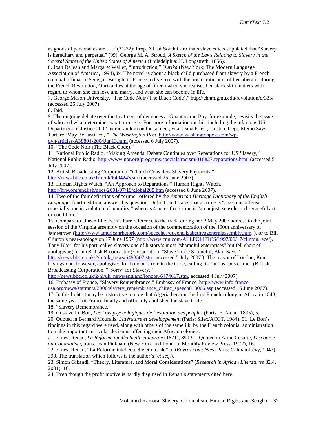as goods of personal estate …." (31-32); Prop. XII of South Carolina's slave edicts stipulated that "Slavery is hereditary and perpetual" (99). George M. A. Stroud, *A Sketch of the Laws Relating to Slavery in the Several States of the United States of America* (Philadelphia: H. Longstreth, 1856).

6. Joan DeJean and Margaret Waller, "Introduction," *Ourika* (New York: The Modern Language Association of America, 1994), ix. The novel is about a black child purchased from slavery by a French colonial official in Senegal. Brought to France to live free with the aristocratic aunt of her liberator during the French Revolution, Ourika dies at the age of fifteen when she realises her black skin matters with regard to whom she can love and marry, and what she can become in life.

7. George Mason University, "The Code Noir (The Black Code)," http://chnm.gmu.edu/revolution/d/335/ (accessed 25 July 2007).

8. Ibid.

 $\overline{a}$ 

9. The ongoing debate over the treatment of detainees at Guantanamo Bay, for example, revisits the issue of who and what determines what torture is. For more information on this, including the infamous US Department of Justice 2002 memorandum on the subject, visit Dana Priest, "Justice Dept. Memo Says Torture 'May Be Justified,'" *The Washington Post*, [http://www.washingtonpost.com/wp-](http://www.washingtonpost.com/wp-dyn/articles/A38894-2004Jun13.html)

[dyn/articles/A38894-2004Jun13.html](http://www.washingtonpost.com/wp-dyn/articles/A38894-2004Jun13.html) (accessed 6 July 2007).

10. "The Code Noir (The Black Code)."

11. National Public Radio, "Making Amends: Debate Continues over Reparations for US Slavery," National Public Radio, <http://www.npr.org/programs/specials/racism/010827.reparations.html> (accessed 5 July 2007).

12. British Broadcasting Corporation, "Church Considers Slavery Payments,"

<http://news.bbc.co.uk/1/hi/uk/6494243.stm> (accessed 25 June 2007).

13. Human Rights Watch, "An Approach to Reparations," Human Rights Watch, <http://hrw.org/english/docs/2001/07/19/global285.htm> (accessed 8 June 2007).

14. Two of the four definitions of "crime" offered by the *American Heritage Dictionary of the English Language*, fourth edition, answer this question. Definition 3 states that a crime is "a serious offense, especially one in violation of morality," whereas 4 notes that crime is "an unjust, senseless, disgraceful act or condition."

15. Compare to Queen Elizabeth's bare reference to the trade during her 3 May 2007 address to the joint session of the Virginia assembly on the occasion of the commemoration of the 400th anniversary of Jamestown [\(http://www.americanrhetoric.com/speeches/queenelizabethvageneralassembly.htm,](http://www.americanrhetoric.com/speeches/queenelizabethvageneralassembly.htm) ), or to Bill Clinton's near-apology on 17 June 1997 [\(http://www.cnn.com/ALLPOLITICS/1997/06/17/clinton.race/\)](http://www.cnn.com/ALLPOLITICS/1997/06/17/clinton.race/). Tony Blair, for his part, called slavery one of history's most "shameful enterprises" but fell short of

apologising for it (British Broadcasting Corporation, "Slave Trade Shameful, Blair Says," [http://news.bbc.co.uk/2/hi/uk\\_news/6493507.stm,](http://news.bbc.co.uk/2/hi/uk_news/6493507.stm) accessed 5 July 2007). The mayor of London, Ken Livingstone, however, apologised for London's role in the trade, calling it a "monstrous crime" (British Broadcasting Corporation, "'Sorry' for Slavery,"

[http://news.bbc.co.uk/2/hi/uk\\_news/england/london/6474617.stm,](http://news.bbc.co.uk/2/hi/uk_news/england/london/6474617.stm) accessed 4 July 2007). 16. Embassy of France, "Slavery Remembrance," Embassy of France, [http://www.info-france-](http://www.info-france-usa.org/news/statmnts/2006/slavery_remembrance_chirac_speech013006.asp)

[usa.org/news/statmnts/2006/slavery\\_remembrance\\_chirac\\_speech013006.asp](http://www.info-france-usa.org/news/statmnts/2006/slavery_remembrance_chirac_speech013006.asp) (accessed 15 June 2007).

17. In this light, it may be instructive to note that Algeria became the first French colony in Africa in 1848, the same year that France finally and officially abolished the slave trade.

<span id="page-16-0"></span>18. "Slavery Remembrance."

19. Gustave Le Bon, *Les Lois psychologiques de l'évolution des peuples* (Paris: F. Alcan, 1895), 5.

<span id="page-16-1"></span>20. Quoted in Bernard Mouralis, *Littérature et développement* (Paris: Silex/ACCT, 1984), 91. Le Bon's findings in this regard were used, along with others of the same ilk, by the French colonial administration to make important curricular decisions affecting their African colonies.

21. Ernest Renan, *La Réforme intellectuelle et morale* (1871), 390-91. Quoted in Aimé Césaire, *Discourse on Colonialism*, trans. Joan Pinkham (New York and London: Monthly Review Press, 1972), 16.

22. Ernest Renan, "La Réforme intellectuelle et morale" in *Œuvres complètes* (Paris: Calman-Lévy, 1947), 390. The translation which follows is the author's (*et seq.*).

23. Simon Gikandi, "Theory, Literature, and Moral Considerations" (*Research in African Literatures* 32.4, 2001), 16.

24. Even though the profit motive is hardly disguised in Renan's statements cited here.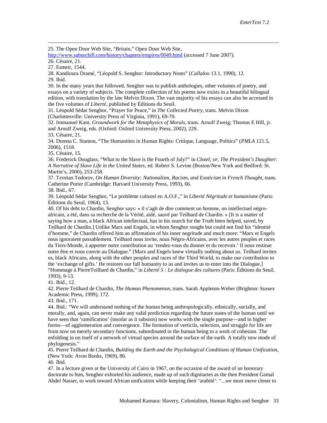25. The Open Door Web Site, "Britain," Open Door Web Site,

<http://www.saburchill.com/history/chapters/empires/0049.html> (accessed 7 June 2007).

26. Césaire, 21.

 $\overline{a}$ 

28. Kandioura Dramé, "Léopold S. Senghor: Introductory Notes" (*Callaloo* 13.1, 1990), 12. 29. Ibid.

30. In the many years that followed, Senghor was to publish anthologies, other volumes of poetry, and essays on a variety of subjects. The complete collection of his poems now exists in a beautiful bilingual edition, with translation by the late Melvin Dixon. The vast majority of his essays can also be accessed in the five volumes of *Liberté*, published by Éditions du Seuil.

31. Léopold Sédar Senghor, "Prayer for Peace," in *The Collected Poetry,* trans. Melvin Dixon (Charlottesville: University Press of Virginia, 1991), 69-70.

32. Immanuel Kant, *Groundwork for the Metaphysics of Morals*, trans. Arnulf Zweig; Thomas E Hill, jr. and Arnulf Zweig, eds. (Oxford: Oxford University Press, 2002), 229.

33. Césaire, 21.

34. Domna C. Stanton, "The Humanities in Human Rights: Critique, Language, Politics" (*PMLA* 121.5, 2006), 1518.

35. Césaire, 15.

36. Frederick Douglass, "What to the Slave is the Fourth of July?" in *Clotel; or, The President's Daughter: A Narrative of Slave Life in the United States*, ed. Robert S. Levine (Boston/New York and Bedford: St. Martin's, 2000), 253-258.

37. Tzvetan Todorov, *On Human Diversity: Nationalism, Racism, and Exoticism in French Thought*, trans. Catherine Porter (Cambridge: Harvard University Press, 1993), 66.

38. Ibid., 67.

39. Léopold Sédar Senghor, "Le problème culturel en A.O.F.," in *Liberté Négritude et humanisme* (Paris: Éditions du Seuil, 1964), 13.

40. Of his debt to Chardin, Senghor says: « il s'agit de dire comment un homme, un intellectuel négroafricain, a été, dans sa recherche de la Vérité, aidé, sauvé par Teilhard de Chardin. » [It is a matter of saying how a man, a black African intellectual, has in his search for the Truth been helped, saved, by Teilhard de Chardin.] Unlike Marx and Engels, in whom Senghor sought but could not find his "identité d'homme," de Chardin offered him an affirmation of his inner negritude and much more: "Marx et Engels nous ignoraient passablement. Teilhard nous invite, nous Négro-Africains, avec les autres peuples et races du Tiers-Monde, à apporter notre contribution au 'rendez-vous du donner et du recevoir.' Il nous restitue notre être et nous convie au Dialogue." [Marx and Engels knew virtually nothing about us. Teilhard invites us, black Africans, along with the other peoples and races of the Third World, to make our contribution to the 'exchange of gifts.' He restores our full humanity to us and invites us to enter into the Dialogue.] "Hommage à PierreTeilhard de Chardin," in *Liberté 5 : Le dialogue des cultures* (Paris: Éditions du Seuil, 1993), 9-13.

41. Ibid., 12.

42. Pierre Teilhard de Chardin, *The Human Phenomenon*, trans. Sarah Appleton-Weber (Brighton: Sussex Academic Press, 1999), 172.

43. Ibid., 171.

44. Ibid.: "We will understand nothing of the human being anthropologically, ethnically, socially, and morally, and, again, can never make any valid prediction regarding the future states of the human until we have seen that 'ramification' (insofar as it subsists) now works with the single purpose—and in higher forms—of agglomeration and convergence. The formation of verticils, selection, and struggle for life are from now on merely secondary functions, subordinated in the human being to a work of cohesion. The enfolding in on itself of a network of virtual species around the surface of the earth. A totally new mode of phylogenesis."

<span id="page-17-2"></span><span id="page-17-1"></span><span id="page-17-0"></span>45. Pierre Teilhard de Chardin, *Building the Earth and the Psychological Conditions of Human Unification*, (New York: Avon Books, 1969), 86.

46. Ibid.

47. In a lecture given at the University of Cairo in 1967, on the occasion of the award of an honorary doctorate to him, Senghor exhorted his audience, made up of such dignitaries as the then President Gamal Abdel Nasser, to work toward African unification while keeping their 'arabité': "...we must move closer to

<span id="page-17-3"></span><sup>27.</sup> Esmeir, 1544.